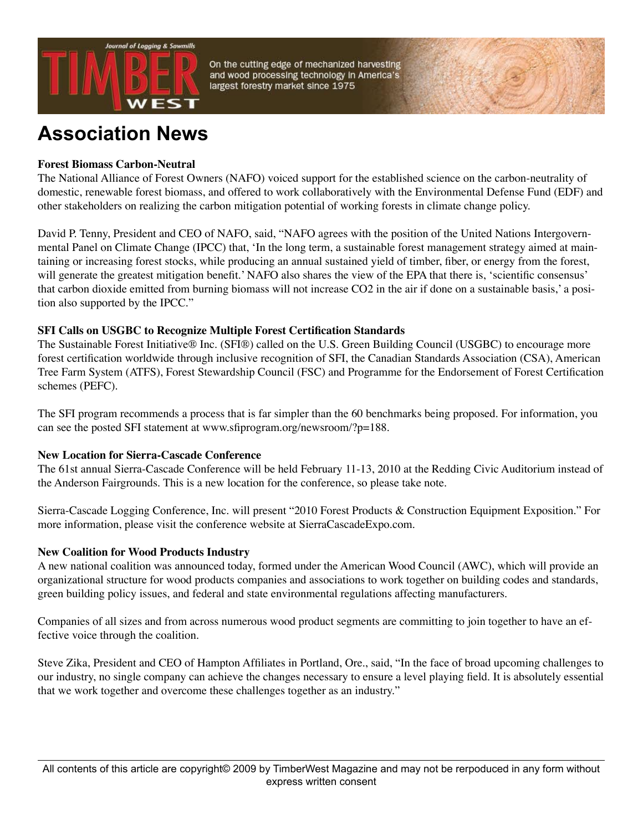

**Association News**

# **Forest Biomass Carbon-Neutral**

The National Alliance of Forest Owners (NAFO) voiced support for the established science on the carbon-neutrality of domestic, renewable forest biomass, and offered to work collaboratively with the Environmental Defense Fund (EDF) and other stakeholders on realizing the carbon mitigation potential of working forests in climate change policy.

David P. Tenny, President and CEO of NAFO, said, "NAFO agrees with the position of the United Nations Intergovernmental Panel on Climate Change (IPCC) that, 'In the long term, a sustainable forest management strategy aimed at maintaining or increasing forest stocks, while producing an annual sustained yield of timber, fiber, or energy from the forest, will generate the greatest mitigation benefit.' NAFO also shares the view of the EPA that there is, 'scientific consensus' that carbon dioxide emitted from burning biomass will not increase CO2 in the air if done on a sustainable basis,' a position also supported by the IPCC."

### **SFI Calls on USGBC to Recognize Multiple Forest Certification Standards**

The Sustainable Forest Initiative® Inc. (SFI®) called on the U.S. Green Building Council (USGBC) to encourage more forest certification worldwide through inclusive recognition of SFI, the Canadian Standards Association (CSA), American Tree Farm System (ATFS), Forest Stewardship Council (FSC) and Programme for the Endorsement of Forest Certification schemes (PEFC).

The SFI program recommends a process that is far simpler than the 60 benchmarks being proposed. For information, you can see the posted SFI statement at www.sfiprogram.org/newsroom/?p=188.

### **New Location for Sierra-Cascade Conference**

The 61st annual Sierra-Cascade Conference will be held February 11-13, 2010 at the Redding Civic Auditorium instead of the Anderson Fairgrounds. This is a new location for the conference, so please take note.

Sierra-Cascade Logging Conference, Inc. will present "2010 Forest Products & Construction Equipment Exposition." For more information, please visit the conference website at SierraCascadeExpo.com.

### **New Coalition for Wood Products Industry**

A new national coalition was announced today, formed under the American Wood Council (AWC), which will provide an organizational structure for wood products companies and associations to work together on building codes and standards, green building policy issues, and federal and state environmental regulations affecting manufacturers.

Companies of all sizes and from across numerous wood product segments are committing to join together to have an effective voice through the coalition.

Steve Zika, President and CEO of Hampton Affiliates in Portland, Ore., said, "In the face of broad upcoming challenges to our industry, no single company can achieve the changes necessary to ensure a level playing field. It is absolutely essential that we work together and overcome these challenges together as an industry."